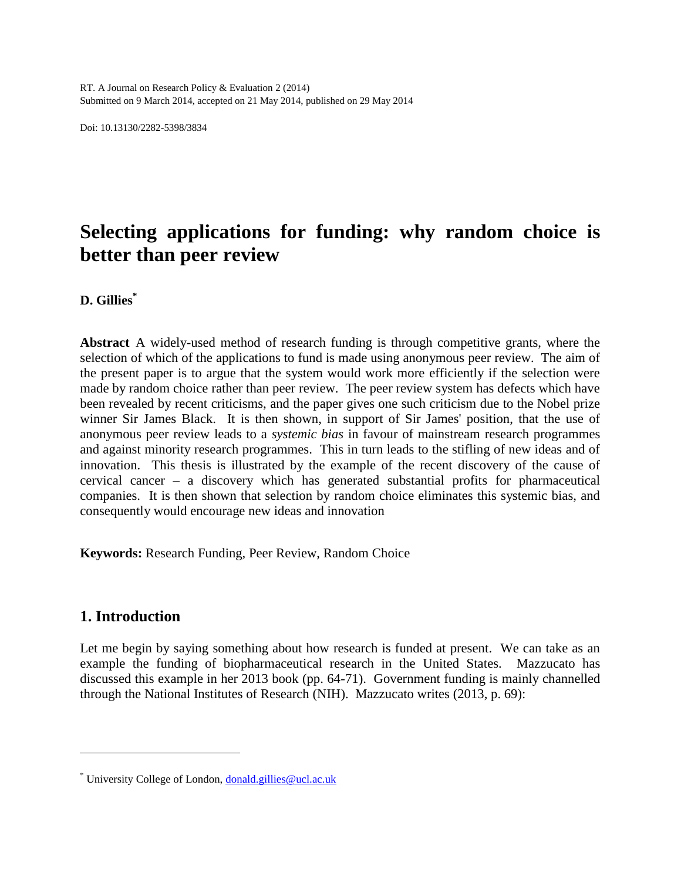Doi: 10.13130/2282-5398/3834

# **Selecting applications for funding: why random choice is better than peer review**

**D. Gillies\***

**Abstract** A widely-used method of research funding is through competitive grants, where the selection of which of the applications to fund is made using anonymous peer review. The aim of the present paper is to argue that the system would work more efficiently if the selection were made by random choice rather than peer review. The peer review system has defects which have been revealed by recent criticisms, and the paper gives one such criticism due to the Nobel prize winner Sir James Black. It is then shown, in support of Sir James' position, that the use of anonymous peer review leads to a *systemic bias* in favour of mainstream research programmes and against minority research programmes. This in turn leads to the stifling of new ideas and of innovation. This thesis is illustrated by the example of the recent discovery of the cause of cervical cancer – a discovery which has generated substantial profits for pharmaceutical companies. It is then shown that selection by random choice eliminates this systemic bias, and consequently would encourage new ideas and innovation

**Keywords:** Research Funding, Peer Review, Random Choice

## **1. Introduction**

l

Let me begin by saying something about how research is funded at present. We can take as an example the funding of biopharmaceutical research in the United States. Mazzucato has discussed this example in her 2013 book (pp. 64-71). Government funding is mainly channelled through the National Institutes of Research (NIH). Mazzucato writes (2013, p. 69):

<sup>\*</sup> University College of London, [donald.gillies@ucl.ac.uk](mailto:donald.gillies@ucl.ac.uk)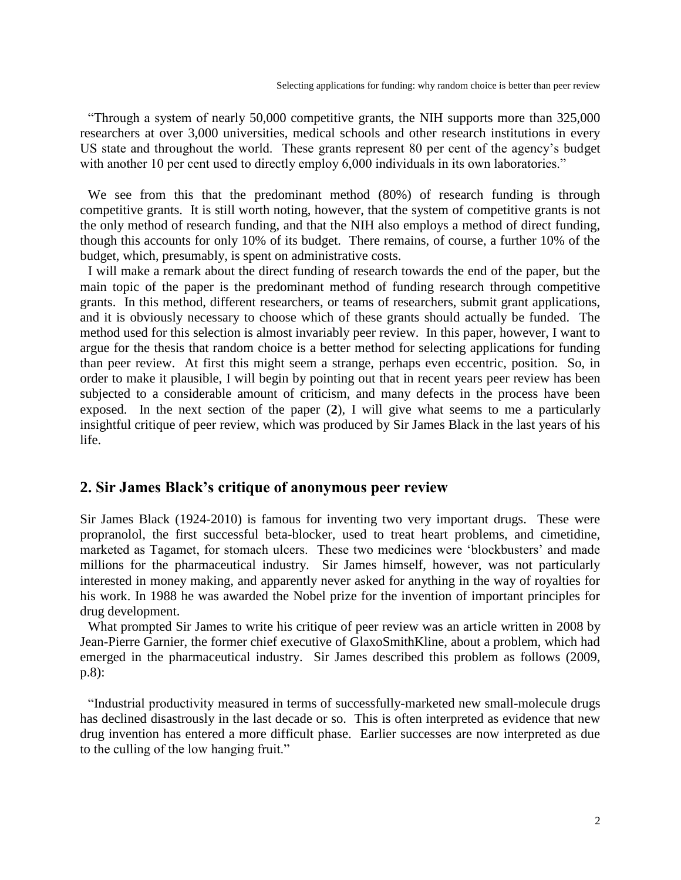"Through a system of nearly 50,000 competitive grants, the NIH supports more than 325,000 researchers at over 3,000 universities, medical schools and other research institutions in every US state and throughout the world. These grants represent 80 per cent of the agency's budget with another 10 per cent used to directly employ 6,000 individuals in its own laboratories."

We see from this that the predominant method  $(80%)$  of research funding is through competitive grants. It is still worth noting, however, that the system of competitive grants is not the only method of research funding, and that the NIH also employs a method of direct funding, though this accounts for only 10% of its budget. There remains, of course, a further 10% of the budget, which, presumably, is spent on administrative costs.

I will make a remark about the direct funding of research towards the end of the paper, but the main topic of the paper is the predominant method of funding research through competitive grants. In this method, different researchers, or teams of researchers, submit grant applications, and it is obviously necessary to choose which of these grants should actually be funded. The method used for this selection is almost invariably peer review. In this paper, however, I want to argue for the thesis that random choice is a better method for selecting applications for funding than peer review. At first this might seem a strange, perhaps even eccentric, position. So, in order to make it plausible, I will begin by pointing out that in recent years peer review has been subjected to a considerable amount of criticism, and many defects in the process have been exposed. In the next section of the paper (**2**), I will give what seems to me a particularly insightful critique of peer review, which was produced by Sir James Black in the last years of his life.

#### **2. Sir James Black's critique of anonymous peer review**

Sir James Black (1924-2010) is famous for inventing two very important drugs. These were propranolol, the first successful beta-blocker, used to treat heart problems, and cimetidine, marketed as Tagamet, for stomach ulcers. These two medicines were 'blockbusters' and made millions for the pharmaceutical industry. Sir James himself, however, was not particularly interested in money making, and apparently never asked for anything in the way of royalties for his work. In 1988 he was awarded the Nobel prize for the invention of important principles for drug development.

What prompted Sir James to write his critique of peer review was an article written in 2008 by Jean-Pierre Garnier, the former chief executive of GlaxoSmithKline, about a problem, which had emerged in the pharmaceutical industry. Sir James described this problem as follows (2009, p.8):

"Industrial productivity measured in terms of successfully-marketed new small-molecule drugs has declined disastrously in the last decade or so. This is often interpreted as evidence that new drug invention has entered a more difficult phase. Earlier successes are now interpreted as due to the culling of the low hanging fruit."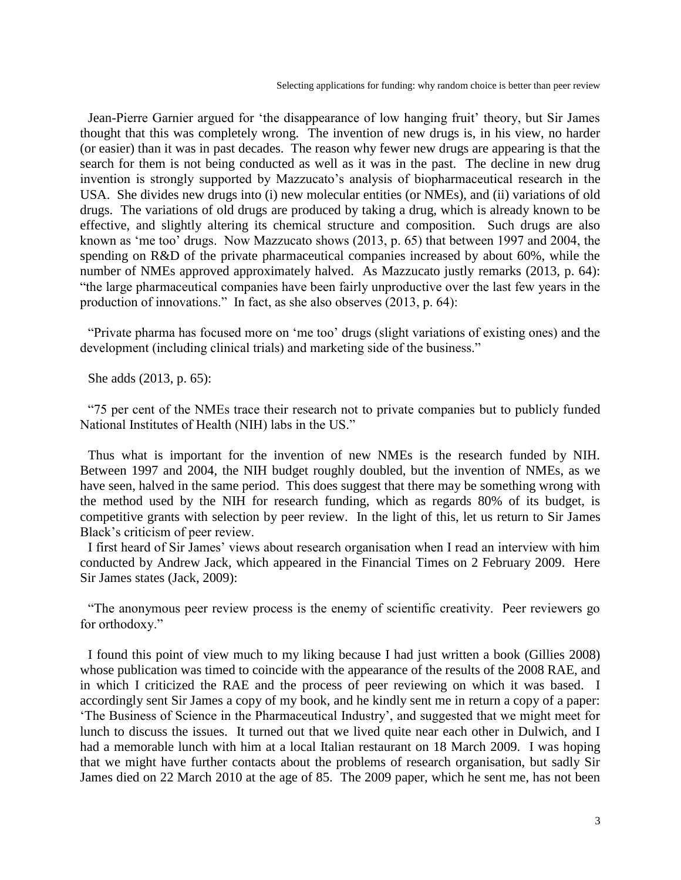Jean-Pierre Garnier argued for 'the disappearance of low hanging fruit' theory, but Sir James thought that this was completely wrong. The invention of new drugs is, in his view, no harder (or easier) than it was in past decades. The reason why fewer new drugs are appearing is that the search for them is not being conducted as well as it was in the past. The decline in new drug invention is strongly supported by Mazzucato's analysis of biopharmaceutical research in the USA. She divides new drugs into (i) new molecular entities (or NMEs), and (ii) variations of old drugs. The variations of old drugs are produced by taking a drug, which is already known to be effective, and slightly altering its chemical structure and composition. Such drugs are also known as 'me too' drugs. Now Mazzucato shows (2013, p. 65) that between 1997 and 2004, the spending on R&D of the private pharmaceutical companies increased by about 60%, while the number of NMEs approved approximately halved. As Mazzucato justly remarks (2013, p. 64): "the large pharmaceutical companies have been fairly unproductive over the last few years in the production of innovations." In fact, as she also observes (2013, p. 64):

"Private pharma has focused more on 'me too' drugs (slight variations of existing ones) and the development (including clinical trials) and marketing side of the business."

She adds (2013, p. 65):

"75 per cent of the NMEs trace their research not to private companies but to publicly funded National Institutes of Health (NIH) labs in the US."

Thus what is important for the invention of new NMEs is the research funded by NIH. Between 1997 and 2004, the NIH budget roughly doubled, but the invention of NMEs, as we have seen, halved in the same period. This does suggest that there may be something wrong with the method used by the NIH for research funding, which as regards 80% of its budget, is competitive grants with selection by peer review. In the light of this, let us return to Sir James Black's criticism of peer review.

I first heard of Sir James' views about research organisation when I read an interview with him conducted by Andrew Jack, which appeared in the Financial Times on 2 February 2009. Here Sir James states (Jack, 2009):

"The anonymous peer review process is the enemy of scientific creativity. Peer reviewers go for orthodoxy."

I found this point of view much to my liking because I had just written a book (Gillies 2008) whose publication was timed to coincide with the appearance of the results of the 2008 RAE, and in which I criticized the RAE and the process of peer reviewing on which it was based. I accordingly sent Sir James a copy of my book, and he kindly sent me in return a copy of a paper: 'The Business of Science in the Pharmaceutical Industry', and suggested that we might meet for lunch to discuss the issues. It turned out that we lived quite near each other in Dulwich, and I had a memorable lunch with him at a local Italian restaurant on 18 March 2009. I was hoping that we might have further contacts about the problems of research organisation, but sadly Sir James died on 22 March 2010 at the age of 85. The 2009 paper, which he sent me, has not been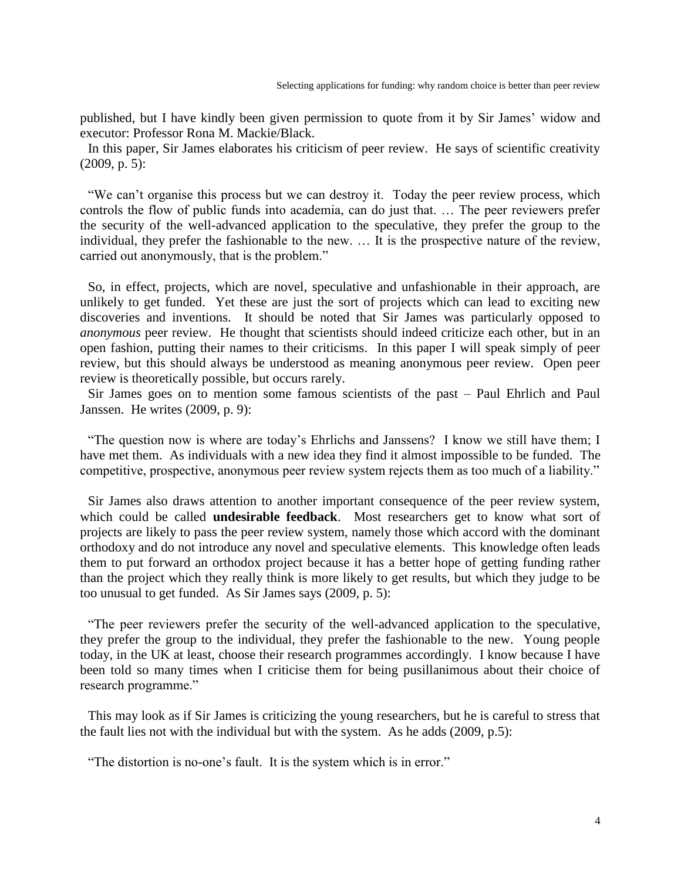published, but I have kindly been given permission to quote from it by Sir James' widow and executor: Professor Rona M. Mackie/Black.

In this paper, Sir James elaborates his criticism of peer review. He says of scientific creativity (2009, p. 5):

"We can't organise this process but we can destroy it. Today the peer review process, which controls the flow of public funds into academia, can do just that. … The peer reviewers prefer the security of the well-advanced application to the speculative, they prefer the group to the individual, they prefer the fashionable to the new. … It is the prospective nature of the review, carried out anonymously, that is the problem."

So, in effect, projects, which are novel, speculative and unfashionable in their approach, are unlikely to get funded. Yet these are just the sort of projects which can lead to exciting new discoveries and inventions. It should be noted that Sir James was particularly opposed to *anonymous* peer review. He thought that scientists should indeed criticize each other, but in an open fashion, putting their names to their criticisms. In this paper I will speak simply of peer review, but this should always be understood as meaning anonymous peer review. Open peer review is theoretically possible, but occurs rarely.

Sir James goes on to mention some famous scientists of the past – Paul Ehrlich and Paul Janssen. He writes (2009, p. 9):

"The question now is where are today's Ehrlichs and Janssens? I know we still have them; I have met them. As individuals with a new idea they find it almost impossible to be funded. The competitive, prospective, anonymous peer review system rejects them as too much of a liability."

Sir James also draws attention to another important consequence of the peer review system, which could be called **undesirable feedback**. Most researchers get to know what sort of projects are likely to pass the peer review system, namely those which accord with the dominant orthodoxy and do not introduce any novel and speculative elements. This knowledge often leads them to put forward an orthodox project because it has a better hope of getting funding rather than the project which they really think is more likely to get results, but which they judge to be too unusual to get funded. As Sir James says (2009, p. 5):

"The peer reviewers prefer the security of the well-advanced application to the speculative, they prefer the group to the individual, they prefer the fashionable to the new. Young people today, in the UK at least, choose their research programmes accordingly. I know because I have been told so many times when I criticise them for being pusillanimous about their choice of research programme."

This may look as if Sir James is criticizing the young researchers, but he is careful to stress that the fault lies not with the individual but with the system. As he adds (2009, p.5):

"The distortion is no-one's fault. It is the system which is in error."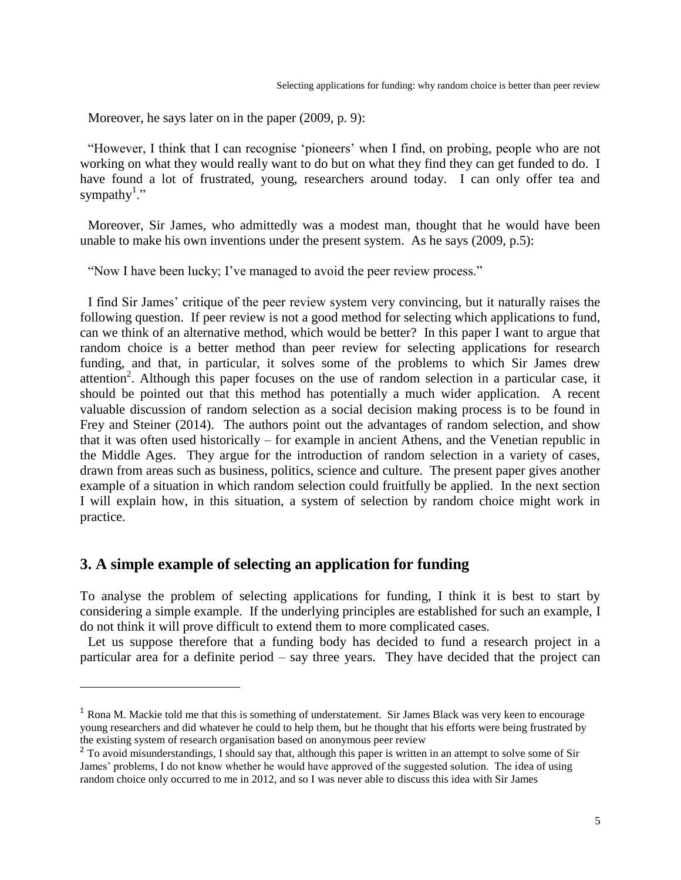Moreover, he says later on in the paper (2009, p. 9):

"However, I think that I can recognise 'pioneers' when I find, on probing, people who are not working on what they would really want to do but on what they find they can get funded to do. I have found a lot of frustrated, young, researchers around today. I can only offer tea and sympathy<sup>1</sup>."

Moreover, Sir James, who admittedly was a modest man, thought that he would have been unable to make his own inventions under the present system. As he says (2009, p.5):

"Now I have been lucky; I've managed to avoid the peer review process."

I find Sir James' critique of the peer review system very convincing, but it naturally raises the following question. If peer review is not a good method for selecting which applications to fund, can we think of an alternative method, which would be better? In this paper I want to argue that random choice is a better method than peer review for selecting applications for research funding, and that, in particular, it solves some of the problems to which Sir James drew attention<sup>2</sup>. Although this paper focuses on the use of random selection in a particular case, it should be pointed out that this method has potentially a much wider application. A recent valuable discussion of random selection as a social decision making process is to be found in Frey and Steiner (2014). The authors point out the advantages of random selection, and show that it was often used historically – for example in ancient Athens, and the Venetian republic in the Middle Ages. They argue for the introduction of random selection in a variety of cases, drawn from areas such as business, politics, science and culture. The present paper gives another example of a situation in which random selection could fruitfully be applied. In the next section I will explain how, in this situation, a system of selection by random choice might work in practice.

## **3. A simple example of selecting an application for funding**

l

To analyse the problem of selecting applications for funding, I think it is best to start by considering a simple example. If the underlying principles are established for such an example, I do not think it will prove difficult to extend them to more complicated cases.

Let us suppose therefore that a funding body has decided to fund a research project in a particular area for a definite period – say three years. They have decided that the project can

<sup>&</sup>lt;sup>1</sup> Rona M. Mackie told me that this is something of understatement. Sir James Black was very keen to encourage young researchers and did whatever he could to help them, but he thought that his efforts were being frustrated by the existing system of research organisation based on anonymous peer review

<sup>&</sup>lt;sup>2</sup> To avoid misunderstandings, I should say that, although this paper is written in an attempt to solve some of Sir James' problems, I do not know whether he would have approved of the suggested solution. The idea of using random choice only occurred to me in 2012, and so I was never able to discuss this idea with Sir James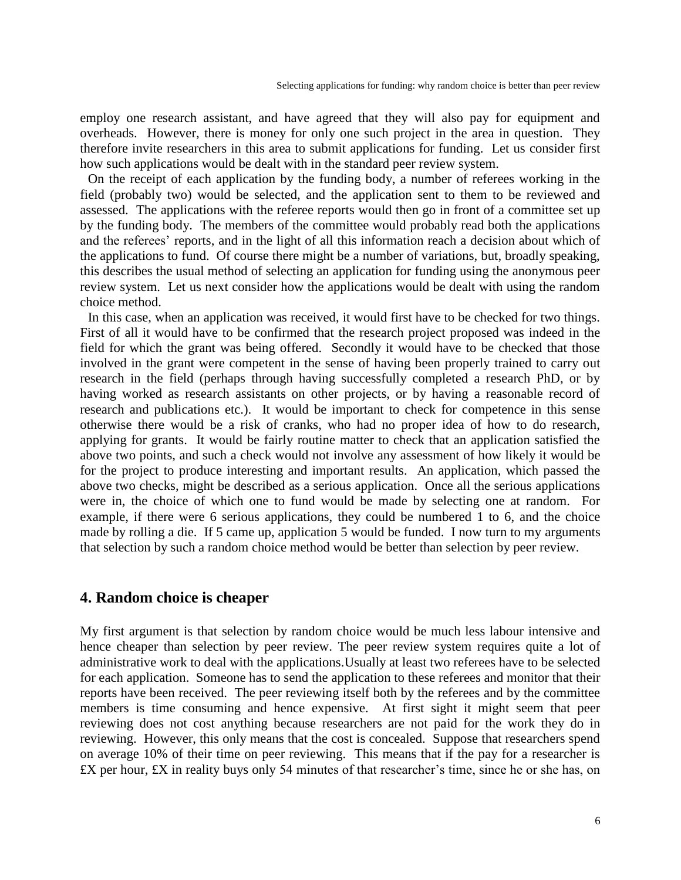employ one research assistant, and have agreed that they will also pay for equipment and overheads. However, there is money for only one such project in the area in question. They therefore invite researchers in this area to submit applications for funding. Let us consider first how such applications would be dealt with in the standard peer review system.

On the receipt of each application by the funding body, a number of referees working in the field (probably two) would be selected, and the application sent to them to be reviewed and assessed. The applications with the referee reports would then go in front of a committee set up by the funding body. The members of the committee would probably read both the applications and the referees' reports, and in the light of all this information reach a decision about which of the applications to fund. Of course there might be a number of variations, but, broadly speaking, this describes the usual method of selecting an application for funding using the anonymous peer review system. Let us next consider how the applications would be dealt with using the random choice method.

In this case, when an application was received, it would first have to be checked for two things. First of all it would have to be confirmed that the research project proposed was indeed in the field for which the grant was being offered. Secondly it would have to be checked that those involved in the grant were competent in the sense of having been properly trained to carry out research in the field (perhaps through having successfully completed a research PhD, or by having worked as research assistants on other projects, or by having a reasonable record of research and publications etc.). It would be important to check for competence in this sense otherwise there would be a risk of cranks, who had no proper idea of how to do research, applying for grants. It would be fairly routine matter to check that an application satisfied the above two points, and such a check would not involve any assessment of how likely it would be for the project to produce interesting and important results. An application, which passed the above two checks, might be described as a serious application. Once all the serious applications were in, the choice of which one to fund would be made by selecting one at random. For example, if there were 6 serious applications, they could be numbered 1 to 6, and the choice made by rolling a die. If 5 came up, application 5 would be funded. I now turn to my arguments that selection by such a random choice method would be better than selection by peer review.

#### **4. Random choice is cheaper**

My first argument is that selection by random choice would be much less labour intensive and hence cheaper than selection by peer review. The peer review system requires quite a lot of administrative work to deal with the applications.Usually at least two referees have to be selected for each application. Someone has to send the application to these referees and monitor that their reports have been received. The peer reviewing itself both by the referees and by the committee members is time consuming and hence expensive. At first sight it might seem that peer reviewing does not cost anything because researchers are not paid for the work they do in reviewing. However, this only means that the cost is concealed. Suppose that researchers spend on average 10% of their time on peer reviewing. This means that if the pay for a researcher is £X per hour, £X in reality buys only 54 minutes of that researcher's time, since he or she has, on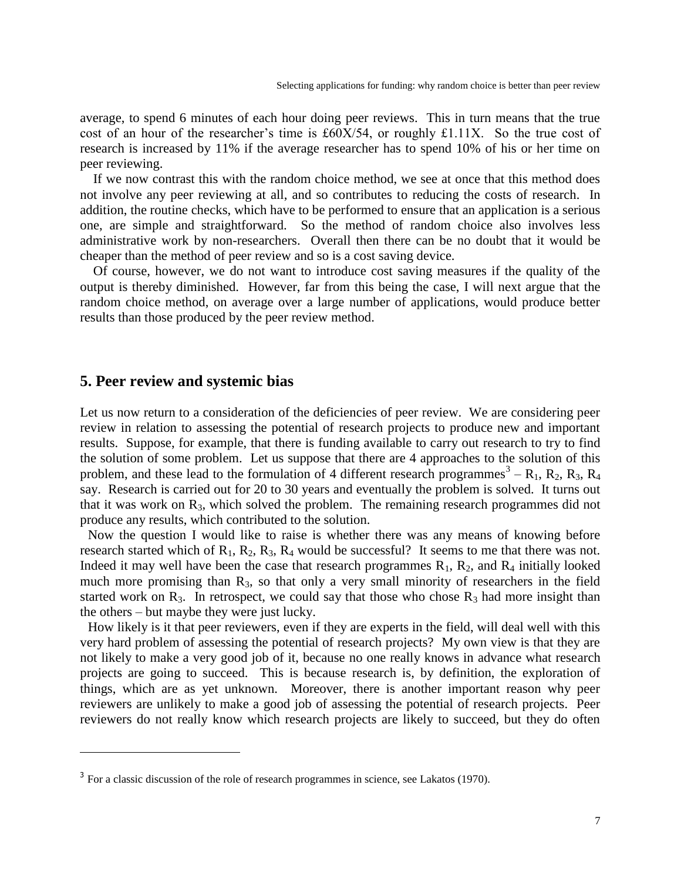average, to spend 6 minutes of each hour doing peer reviews. This in turn means that the true cost of an hour of the researcher's time is £60X/54, or roughly £1.11X. So the true cost of research is increased by 11% if the average researcher has to spend 10% of his or her time on peer reviewing.

If we now contrast this with the random choice method, we see at once that this method does not involve any peer reviewing at all, and so contributes to reducing the costs of research. In addition, the routine checks, which have to be performed to ensure that an application is a serious one, are simple and straightforward. So the method of random choice also involves less administrative work by non-researchers. Overall then there can be no doubt that it would be cheaper than the method of peer review and so is a cost saving device.

Of course, however, we do not want to introduce cost saving measures if the quality of the output is thereby diminished. However, far from this being the case, I will next argue that the random choice method, on average over a large number of applications, would produce better results than those produced by the peer review method.

#### **5. Peer review and systemic bias**

l

Let us now return to a consideration of the deficiencies of peer review. We are considering peer review in relation to assessing the potential of research projects to produce new and important results. Suppose, for example, that there is funding available to carry out research to try to find the solution of some problem. Let us suppose that there are 4 approaches to the solution of this problem, and these lead to the formulation of 4 different research programmes<sup>3</sup> – R<sub>1</sub>, R<sub>2</sub>, R<sub>3</sub>, R<sub>4</sub> say. Research is carried out for 20 to 30 years and eventually the problem is solved. It turns out that it was work on  $R_3$ , which solved the problem. The remaining research programmes did not produce any results, which contributed to the solution.

Now the question I would like to raise is whether there was any means of knowing before research started which of  $R_1$ ,  $R_2$ ,  $R_3$ ,  $R_4$  would be successful? It seems to me that there was not. Indeed it may well have been the case that research programmes  $R_1$ ,  $R_2$ , and  $R_4$  initially looked much more promising than  $R_3$ , so that only a very small minority of researchers in the field started work on  $R_3$ . In retrospect, we could say that those who chose  $R_3$  had more insight than the others – but maybe they were just lucky.

How likely is it that peer reviewers, even if they are experts in the field, will deal well with this very hard problem of assessing the potential of research projects? My own view is that they are not likely to make a very good job of it, because no one really knows in advance what research projects are going to succeed. This is because research is, by definition, the exploration of things, which are as yet unknown. Moreover, there is another important reason why peer reviewers are unlikely to make a good job of assessing the potential of research projects. Peer reviewers do not really know which research projects are likely to succeed, but they do often

 $3$  For a classic discussion of the role of research programmes in science, see Lakatos (1970).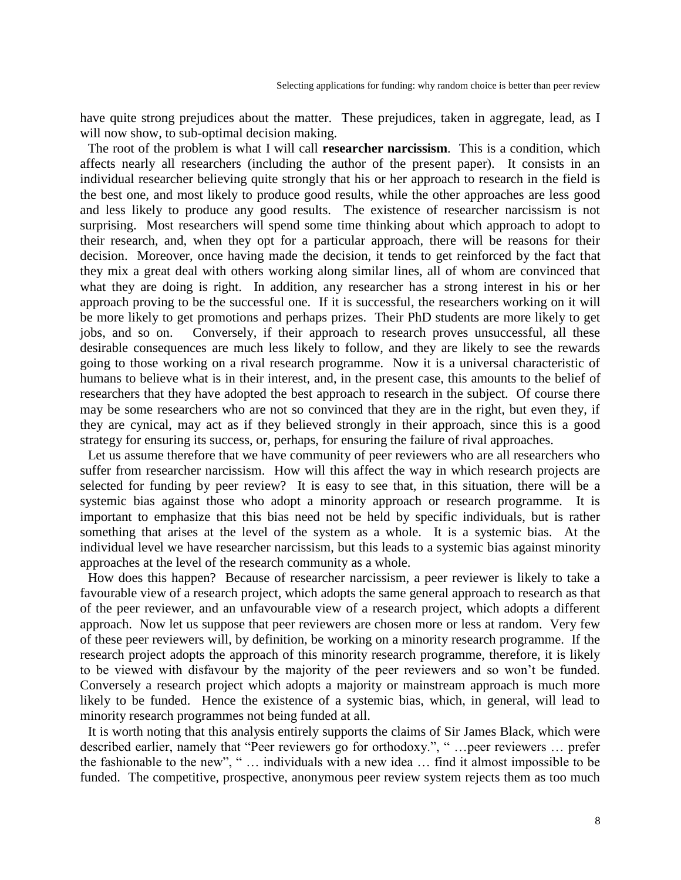have quite strong prejudices about the matter. These prejudices, taken in aggregate, lead, as I will now show, to sub-optimal decision making.

The root of the problem is what I will call **researcher narcissism**. This is a condition, which affects nearly all researchers (including the author of the present paper). It consists in an individual researcher believing quite strongly that his or her approach to research in the field is the best one, and most likely to produce good results, while the other approaches are less good and less likely to produce any good results. The existence of researcher narcissism is not surprising. Most researchers will spend some time thinking about which approach to adopt to their research, and, when they opt for a particular approach, there will be reasons for their decision. Moreover, once having made the decision, it tends to get reinforced by the fact that they mix a great deal with others working along similar lines, all of whom are convinced that what they are doing is right. In addition, any researcher has a strong interest in his or her approach proving to be the successful one. If it is successful, the researchers working on it will be more likely to get promotions and perhaps prizes. Their PhD students are more likely to get jobs, and so on. Conversely, if their approach to research proves unsuccessful, all these desirable consequences are much less likely to follow, and they are likely to see the rewards going to those working on a rival research programme. Now it is a universal characteristic of humans to believe what is in their interest, and, in the present case, this amounts to the belief of researchers that they have adopted the best approach to research in the subject. Of course there may be some researchers who are not so convinced that they are in the right, but even they, if they are cynical, may act as if they believed strongly in their approach, since this is a good strategy for ensuring its success, or, perhaps, for ensuring the failure of rival approaches.

Let us assume therefore that we have community of peer reviewers who are all researchers who suffer from researcher narcissism. How will this affect the way in which research projects are selected for funding by peer review? It is easy to see that, in this situation, there will be a systemic bias against those who adopt a minority approach or research programme. It is important to emphasize that this bias need not be held by specific individuals, but is rather something that arises at the level of the system as a whole. It is a systemic bias. At the individual level we have researcher narcissism, but this leads to a systemic bias against minority approaches at the level of the research community as a whole.

How does this happen? Because of researcher narcissism, a peer reviewer is likely to take a favourable view of a research project, which adopts the same general approach to research as that of the peer reviewer, and an unfavourable view of a research project, which adopts a different approach. Now let us suppose that peer reviewers are chosen more or less at random. Very few of these peer reviewers will, by definition, be working on a minority research programme. If the research project adopts the approach of this minority research programme, therefore, it is likely to be viewed with disfavour by the majority of the peer reviewers and so won't be funded. Conversely a research project which adopts a majority or mainstream approach is much more likely to be funded. Hence the existence of a systemic bias, which, in general, will lead to minority research programmes not being funded at all.

It is worth noting that this analysis entirely supports the claims of Sir James Black, which were described earlier, namely that "Peer reviewers go for orthodoxy.", " …peer reviewers … prefer the fashionable to the new", " … individuals with a new idea … find it almost impossible to be funded. The competitive, prospective, anonymous peer review system rejects them as too much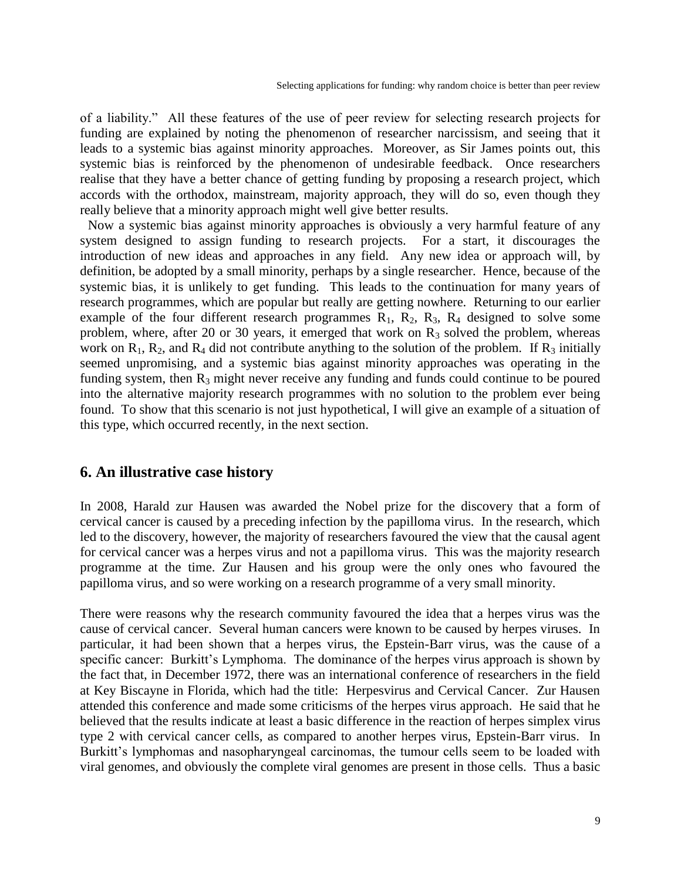of a liability." All these features of the use of peer review for selecting research projects for funding are explained by noting the phenomenon of researcher narcissism, and seeing that it leads to a systemic bias against minority approaches. Moreover, as Sir James points out, this systemic bias is reinforced by the phenomenon of undesirable feedback. Once researchers realise that they have a better chance of getting funding by proposing a research project, which accords with the orthodox, mainstream, majority approach, they will do so, even though they really believe that a minority approach might well give better results.

Now a systemic bias against minority approaches is obviously a very harmful feature of any system designed to assign funding to research projects. For a start, it discourages the introduction of new ideas and approaches in any field. Any new idea or approach will, by definition, be adopted by a small minority, perhaps by a single researcher. Hence, because of the systemic bias, it is unlikely to get funding. This leads to the continuation for many years of research programmes, which are popular but really are getting nowhere. Returning to our earlier example of the four different research programmes  $R_1$ ,  $R_2$ ,  $R_3$ ,  $R_4$  designed to solve some problem, where, after 20 or 30 years, it emerged that work on  $R_3$  solved the problem, whereas work on  $R_1$ ,  $R_2$ , and  $R_4$  did not contribute anything to the solution of the problem. If  $R_3$  initially seemed unpromising, and a systemic bias against minority approaches was operating in the funding system, then  $R_3$  might never receive any funding and funds could continue to be poured into the alternative majority research programmes with no solution to the problem ever being found. To show that this scenario is not just hypothetical, I will give an example of a situation of this type, which occurred recently, in the next section.

## **6. An illustrative case history**

In 2008, Harald zur Hausen was awarded the Nobel prize for the discovery that a form of cervical cancer is caused by a preceding infection by the papilloma virus. In the research, which led to the discovery, however, the majority of researchers favoured the view that the causal agent for cervical cancer was a herpes virus and not a papilloma virus. This was the majority research programme at the time. Zur Hausen and his group were the only ones who favoured the papilloma virus, and so were working on a research programme of a very small minority.

There were reasons why the research community favoured the idea that a herpes virus was the cause of cervical cancer. Several human cancers were known to be caused by herpes viruses. In particular, it had been shown that a herpes virus, the Epstein-Barr virus, was the cause of a specific cancer: Burkitt's Lymphoma. The dominance of the herpes virus approach is shown by the fact that, in December 1972, there was an international conference of researchers in the field at Key Biscayne in Florida, which had the title: Herpesvirus and Cervical Cancer. Zur Hausen attended this conference and made some criticisms of the herpes virus approach. He said that he believed that the results indicate at least a basic difference in the reaction of herpes simplex virus type 2 with cervical cancer cells, as compared to another herpes virus, Epstein-Barr virus. In Burkitt's lymphomas and nasopharyngeal carcinomas, the tumour cells seem to be loaded with viral genomes, and obviously the complete viral genomes are present in those cells. Thus a basic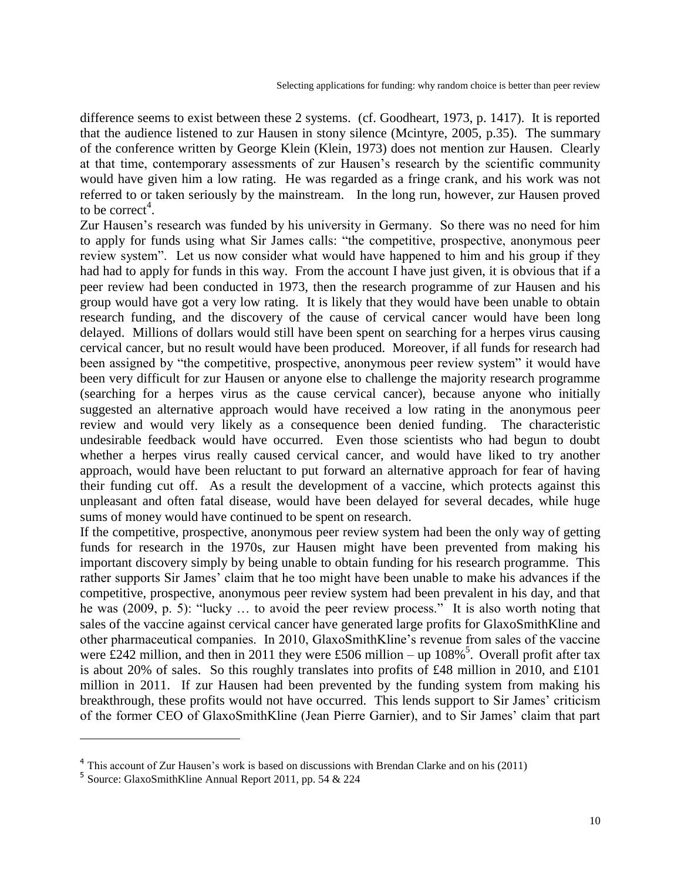difference seems to exist between these 2 systems. (cf. Goodheart, 1973, p. 1417). It is reported that the audience listened to zur Hausen in stony silence (Mcintyre, 2005, p.35). The summary of the conference written by George Klein (Klein, 1973) does not mention zur Hausen. Clearly at that time, contemporary assessments of zur Hausen's research by the scientific community would have given him a low rating. He was regarded as a fringe crank, and his work was not referred to or taken seriously by the mainstream. In the long run, however, zur Hausen proved to be correct<sup>4</sup>.

Zur Hausen's research was funded by his university in Germany. So there was no need for him to apply for funds using what Sir James calls: "the competitive, prospective, anonymous peer review system". Let us now consider what would have happened to him and his group if they had had to apply for funds in this way. From the account I have just given, it is obvious that if a peer review had been conducted in 1973, then the research programme of zur Hausen and his group would have got a very low rating. It is likely that they would have been unable to obtain research funding, and the discovery of the cause of cervical cancer would have been long delayed. Millions of dollars would still have been spent on searching for a herpes virus causing cervical cancer, but no result would have been produced. Moreover, if all funds for research had been assigned by "the competitive, prospective, anonymous peer review system" it would have been very difficult for zur Hausen or anyone else to challenge the majority research programme (searching for a herpes virus as the cause cervical cancer), because anyone who initially suggested an alternative approach would have received a low rating in the anonymous peer review and would very likely as a consequence been denied funding. The characteristic undesirable feedback would have occurred. Even those scientists who had begun to doubt whether a herpes virus really caused cervical cancer, and would have liked to try another approach, would have been reluctant to put forward an alternative approach for fear of having their funding cut off. As a result the development of a vaccine, which protects against this unpleasant and often fatal disease, would have been delayed for several decades, while huge sums of money would have continued to be spent on research.

If the competitive, prospective, anonymous peer review system had been the only way of getting funds for research in the 1970s, zur Hausen might have been prevented from making his important discovery simply by being unable to obtain funding for his research programme. This rather supports Sir James' claim that he too might have been unable to make his advances if the competitive, prospective, anonymous peer review system had been prevalent in his day, and that he was (2009, p. 5): "lucky … to avoid the peer review process." It is also worth noting that sales of the vaccine against cervical cancer have generated large profits for GlaxoSmithKline and other pharmaceutical companies. In 2010, GlaxoSmithKline's revenue from sales of the vaccine were £242 million, and then in 2011 they were £506 million – up 108%<sup>5</sup>. Overall profit after tax is about 20% of sales. So this roughly translates into profits of £48 million in 2010, and £101 million in 2011. If zur Hausen had been prevented by the funding system from making his breakthrough, these profits would not have occurred. This lends support to Sir James' criticism of the former CEO of GlaxoSmithKline (Jean Pierre Garnier), and to Sir James' claim that part

l

<sup>4</sup> This account of Zur Hausen's work is based on discussions with Brendan Clarke and on his (2011)

<sup>&</sup>lt;sup>5</sup> Source: GlaxoSmithKline Annual Report 2011, pp. 54 & 224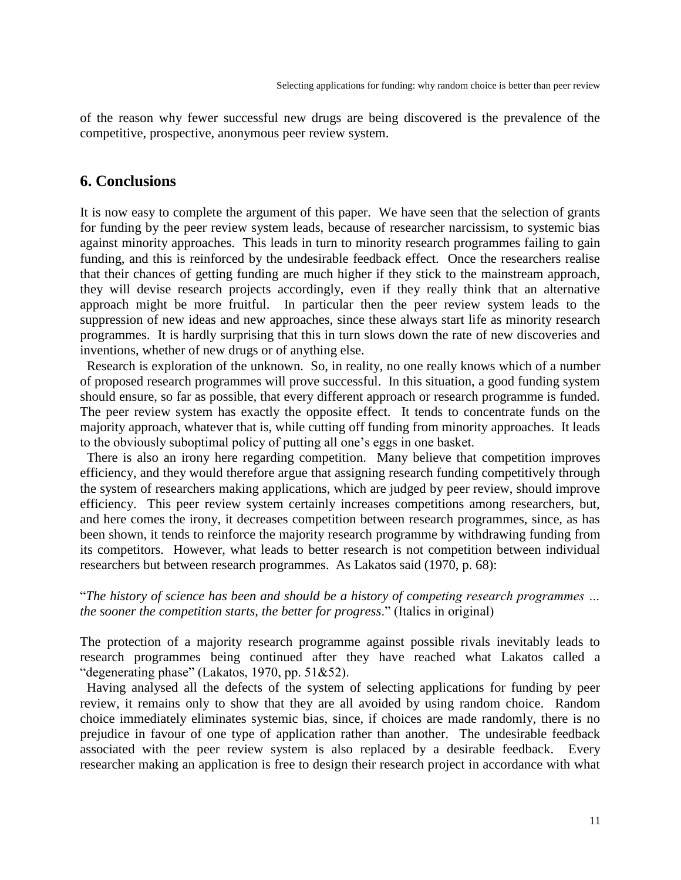of the reason why fewer successful new drugs are being discovered is the prevalence of the competitive, prospective, anonymous peer review system.

#### **6. Conclusions**

It is now easy to complete the argument of this paper. We have seen that the selection of grants for funding by the peer review system leads, because of researcher narcissism, to systemic bias against minority approaches. This leads in turn to minority research programmes failing to gain funding, and this is reinforced by the undesirable feedback effect. Once the researchers realise that their chances of getting funding are much higher if they stick to the mainstream approach, they will devise research projects accordingly, even if they really think that an alternative approach might be more fruitful. In particular then the peer review system leads to the suppression of new ideas and new approaches, since these always start life as minority research programmes. It is hardly surprising that this in turn slows down the rate of new discoveries and inventions, whether of new drugs or of anything else.

 Research is exploration of the unknown. So, in reality, no one really knows which of a number of proposed research programmes will prove successful. In this situation, a good funding system should ensure, so far as possible, that every different approach or research programme is funded. The peer review system has exactly the opposite effect. It tends to concentrate funds on the majority approach, whatever that is, while cutting off funding from minority approaches. It leads to the obviously suboptimal policy of putting all one's eggs in one basket.

 There is also an irony here regarding competition. Many believe that competition improves efficiency, and they would therefore argue that assigning research funding competitively through the system of researchers making applications, which are judged by peer review, should improve efficiency. This peer review system certainly increases competitions among researchers, but, and here comes the irony, it decreases competition between research programmes, since, as has been shown, it tends to reinforce the majority research programme by withdrawing funding from its competitors. However, what leads to better research is not competition between individual researchers but between research programmes. As Lakatos said (1970, p. 68):

"*The history of science has been and should be a history of competing research programmes … the sooner the competition starts, the better for progress*." (Italics in original)

The protection of a majority research programme against possible rivals inevitably leads to research programmes being continued after they have reached what Lakatos called a "degenerating phase" (Lakatos, 1970, pp.  $51&52$ ).

 Having analysed all the defects of the system of selecting applications for funding by peer review, it remains only to show that they are all avoided by using random choice. Random choice immediately eliminates systemic bias, since, if choices are made randomly, there is no prejudice in favour of one type of application rather than another. The undesirable feedback associated with the peer review system is also replaced by a desirable feedback. Every researcher making an application is free to design their research project in accordance with what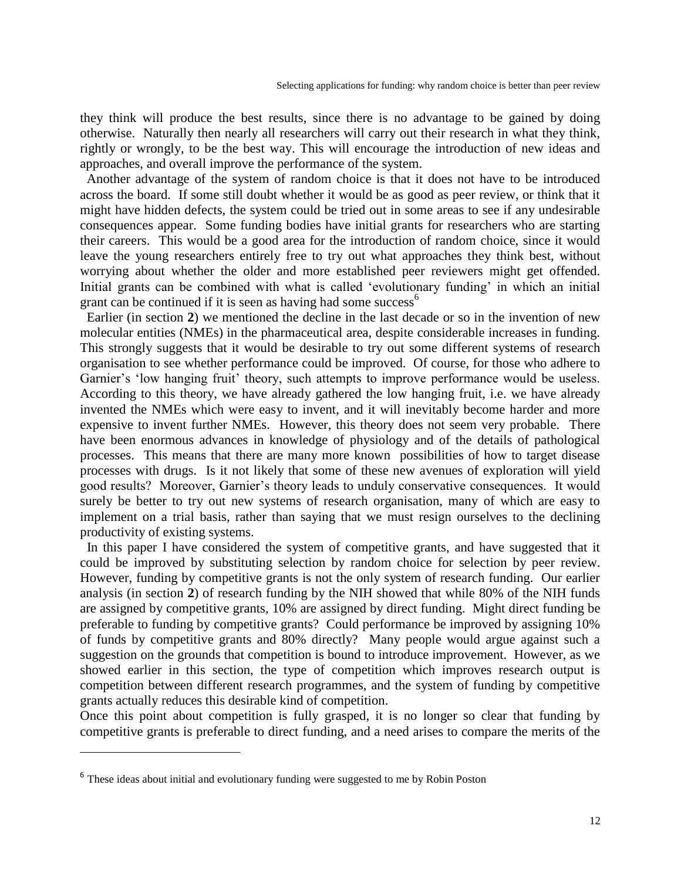they think will produce the best results, since there is no advantage to be gained by doing otherwise. Naturally then nearly all researchers will carry out their research in what they think, rightly or wrongly, to be the best way. This will encourage the introduction of new ideas and approaches, and overall improve the performance of the system.

 Another advantage of the system of random choice is that it does not have to be introduced across the board. If some still doubt whether it would be as good as peer review, or think that it might have hidden defects, the system could be tried out in some areas to see if any undesirable consequences appear. Some funding bodies have initial grants for researchers who are starting their careers. This would be a good area for the introduction of random choice, since it would leave the young researchers entirely free to try out what approaches they think best, without worrying about whether the older and more established peer reviewers might get offended. Initial grants can be combined with what is called 'evolutionary funding' in which an initial grant can be continued if it is seen as having had some success<sup>6</sup>

 Earlier (in section **2**) we mentioned the decline in the last decade or so in the invention of new molecular entities (NMEs) in the pharmaceutical area, despite considerable increases in funding. This strongly suggests that it would be desirable to try out some different systems of research organisation to see whether performance could be improved. Of course, for those who adhere to Garnier's 'low hanging fruit' theory, such attempts to improve performance would be useless. According to this theory, we have already gathered the low hanging fruit, i.e. we have already invented the NMEs which were easy to invent, and it will inevitably become harder and more expensive to invent further NMEs. However, this theory does not seem very probable. There have been enormous advances in knowledge of physiology and of the details of pathological processes. This means that there are many more known possibilities of how to target disease processes with drugs. Is it not likely that some of these new avenues of exploration will yield good results? Moreover, Garnier's theory leads to unduly conservative consequences. It would surely be better to try out new systems of research organisation, many of which are easy to implement on a trial basis, rather than saying that we must resign ourselves to the declining productivity of existing systems.

 In this paper I have considered the system of competitive grants, and have suggested that it could be improved by substituting selection by random choice for selection by peer review. However, funding by competitive grants is not the only system of research funding. Our earlier analysis (in section **2**) of research funding by the NIH showed that while 80% of the NIH funds are assigned by competitive grants, 10% are assigned by direct funding. Might direct funding be preferable to funding by competitive grants? Could performance be improved by assigning 10% of funds by competitive grants and 80% directly? Many people would argue against such a suggestion on the grounds that competition is bound to introduce improvement. However, as we showed earlier in this section, the type of competition which improves research output is competition between different research programmes, and the system of funding by competitive grants actually reduces this desirable kind of competition.

Once this point about competition is fully grasped, it is no longer so clear that funding by competitive grants is preferable to direct funding, and a need arises to compare the merits of the

l

<sup>&</sup>lt;sup>6</sup> These ideas about initial and evolutionary funding were suggested to me by Robin Poston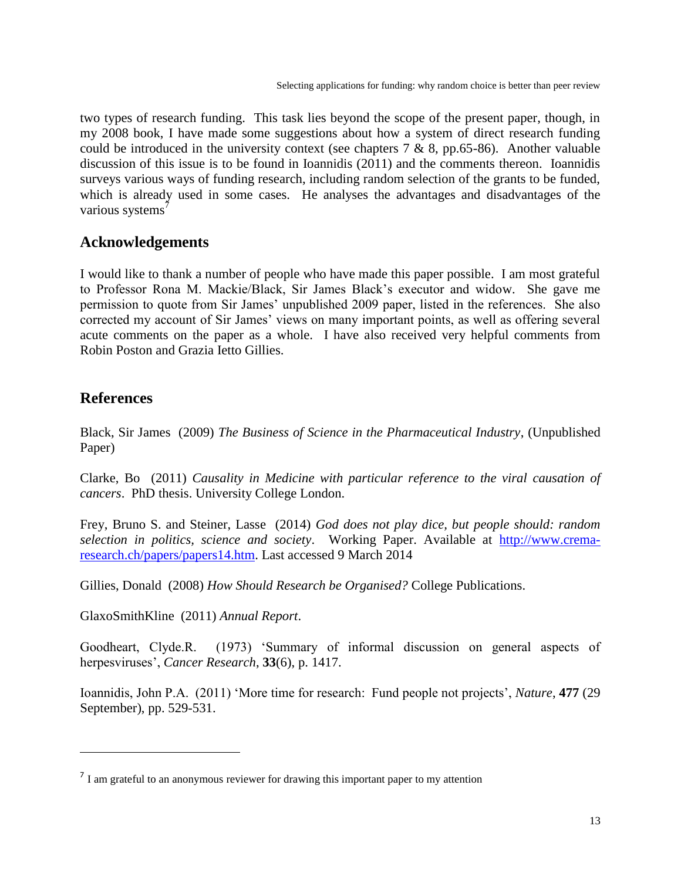two types of research funding. This task lies beyond the scope of the present paper, though, in my 2008 book, I have made some suggestions about how a system of direct research funding could be introduced in the university context (see chapters  $7 \& 8$ , pp.65-86). Another valuable discussion of this issue is to be found in Ioannidis (2011) and the comments thereon. Ioannidis surveys various ways of funding research, including random selection of the grants to be funded, which is already used in some cases. He analyses the advantages and disadvantages of the various systems<sup>7</sup>

## **Acknowledgements**

I would like to thank a number of people who have made this paper possible. I am most grateful to Professor Rona M. Mackie/Black, Sir James Black's executor and widow. She gave me permission to quote from Sir James' unpublished 2009 paper, listed in the references. She also corrected my account of Sir James' views on many important points, as well as offering several acute comments on the paper as a whole. I have also received very helpful comments from Robin Poston and Grazia Ietto Gillies.

## **References**

l

Black, Sir James (2009) *The Business of Science in the Pharmaceutical Industry*, (Unpublished Paper)

Clarke, Bo (2011) *Causality in Medicine with particular reference to the viral causation of cancers*. PhD thesis. University College London.

Frey, Bruno S. and Steiner, Lasse (2014) *God does not play dice, but people should: random selection in politics, science and society*. Working Paper. Available at [http://www.crema](http://www.crema-research.ch/papers/papers14.htm)[research.ch/papers/papers14.htm.](http://www.crema-research.ch/papers/papers14.htm) Last accessed 9 March 2014

Gillies, Donald (2008) *How Should Research be Organised?* College Publications.

GlaxoSmithKline (2011) *Annual Report*.

Goodheart, Clyde.R. (1973) 'Summary of informal discussion on general aspects of herpesviruses', *Cancer Research*, **33**(6), p. 1417.

Ioannidis, John P.A. (2011) 'More time for research: Fund people not projects', *Nature*, **477** (29 September), pp. 529-531.

 $<sup>7</sup>$  I am grateful to an anonymous reviewer for drawing this important paper to my attention</sup>